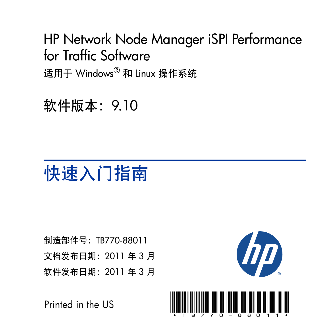## HP Network Node Manager iSPI Performance for Traffic Software 适用于 Windows® 和 Linux 操作系统

软件版本:9.10

# 快速入门指南

制造部件号:TB770-88011 文档发布日期:2011 年 3 月 软件发布日期:2011 年 3 月



Printed in the US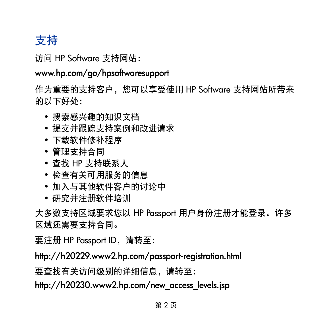## 支持

访问 HP Software 支持网站:

## www.hp.com/go/hpsoftwaresupport

作为重要的支持客户,您可以享受使用 HP Software 支持网站所带来 的以下好处:

- 搜索感兴趣的知识文档
- 提交并跟踪支持案例和改进请求
- 下载软件修补程序
- 管理支持合同
- 查找 HP 支持联系人
- 检查有关可用服务的信息
- 加入与其他软件客户的讨论中
- 研究并注册软件培训

大多数支持区域要求您以 HP Passport 用户身份注册才能登录。许多 区域还需要支持合同。

要注册 HP Passport ID,请转至:

## http://h20229.www2.hp.com/passport-registration.html

要查找有关访问级别的详细信息,请转至:

## http://h20230.www2.hp.com/new\_access\_levels.jsp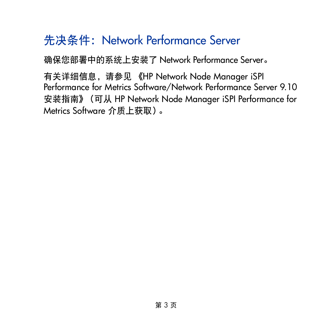## 先决条件: Network Performance Server

确保您部署中的系统上安装了 Network Performance Server。

有关详细信息,请参见 《HP Network Node Manager iSPI Performance for Metrics Software/Network Performance Server 9.10 安装指南》(可从 HP Network Node Manager iSPI Performance for Metrics Software 介质上获取)。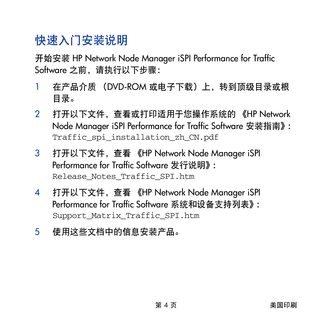## 快速入门安装说明

开始安装 HP Network Node Manager iSPI Performance for Traffic Software 之前, 请执行以下步骤:

- 1 在产品介质 (DVD-ROM 或电子下载)上, 转到顶级目录或根 目录。
- 2 打开以下文件,查看或打印适用于您操作系统的 《HP Network Node Manager iSPI Performance for Traffic Software 安装指南》: Traffic\_spi\_installation\_zh\_CN.pdf
- 3 打开以下文件,查看 《HP Network Node Manager iSPI Performance for Traffic Software 发行说明》: Release\_Notes\_Traffic\_SPI.htm
- 4 打开以下文件,查看 《HP Network Node Manager iSPI Performance for Traffic Software 系统和设备支持列表》: Support\_Matrix\_Traffic\_SPI.htm
- 5 使用这些文档中的信息安装产品。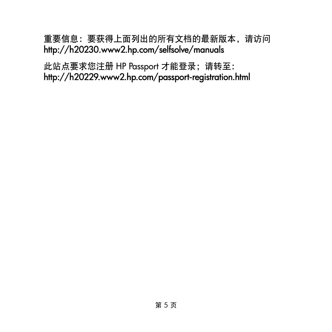### 重要信息:要获得上面列出的所有文档的最新版本,请访问 http://h20230.www2.hp.com/selfsolve/manuals

此站点要求您注册 HP Passport 才能登录;请转至: http://h20229.www2.hp.com/passport-registration.html